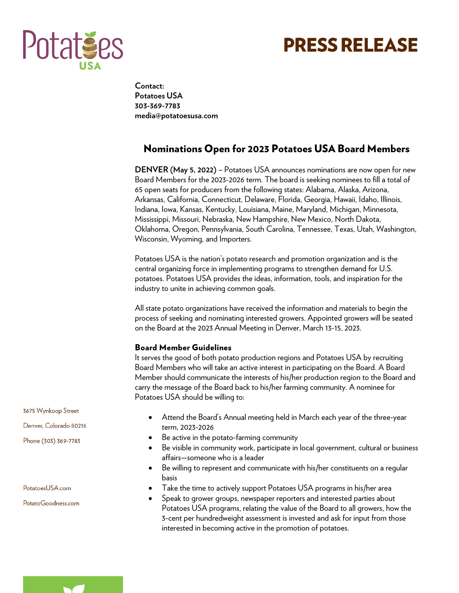

# **PRESS RELEASE**

**Contact: Potatoes USA 303-369-7783 media@potatoesusa.com**

## Nominations Open for 2023 Potatoes USA Board Members

**DENVER (May 5, 2022)** – Potatoes USA announces nominations are now open for new Board Members for the 2023-2026 term. The board is seeking nominees to fill a total of 65 open seats for producers from the following states: Alabama, Alaska, Arizona, Arkansas, California, Connecticut, Delaware, Florida, Georgia, Hawaii, Idaho, Illinois, Indiana, Iowa, Kansas, Kentucky, Louisiana, Maine, Maryland, Michigan, Minnesota, Mississippi, Missouri, Nebraska, New Hampshire, New Mexico, North Dakota, Oklahoma, Oregon, Pennsylvania, South Carolina, Tennessee, Texas, Utah, Washington, Wisconsin, Wyoming, and Importers.

Potatoes USA is the nation's potato research and promotion organization and is the central organizing force in implementing programs to strengthen demand for U.S. potatoes. Potatoes USA provides the ideas, information, tools, and inspiration for the industry to unite in achieving common goals.

All state potato organizations have received the information and materials to begin the process of seeking and nominating interested growers. Appointed growers will be seated on the Board at the 2023 Annual Meeting in Denver, March 13-15, 2023.

### Board Member Guidelines

It serves the good of both potato production regions and Potatoes USA by recruiting Board Members who will take an active interest in participating on the Board. A Board Member should communicate the interests of his/her production region to the Board and carry the message of the Board back to his/her farming community. A nominee for Potatoes USA should be willing to:

- Attend the Board's Annual meeting held in March each year of the three-year term, 2023-2026
- Be active in the potato-farming community
- Be visible in community work, participate in local government, cultural or business affairs—someone who is a leader
- Be willing to represent and communicate with his/her constituents on a regular basis
- Take the time to actively support Potatoes USA programs in his/her area
- Speak to grower groups, newspaper reporters and interested parties about Potatoes USA programs, relating the value of the Board to all growers, how the 3-cent per hundredweight assessment is invested and ask for input from those interested in becoming active in the promotion of potatoes.

3675 Wynkoop Street Denver, Colorado 80216

Phone (303) 369-7783

PotatoesUSA.com

PotatoGoodness.com